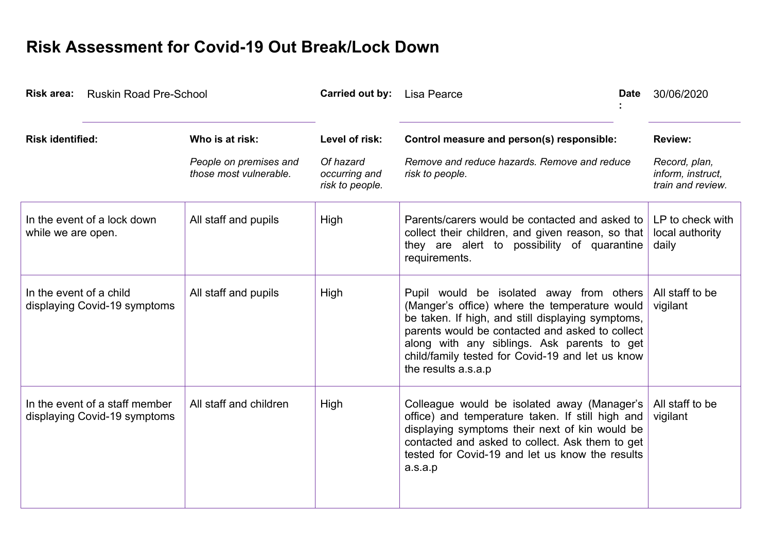## **Risk Assessment for Covid-19 Out Break/Lock Down**

| Risk area: Ruskin Road Pre-School                              |                                                  | <b>Carried out by:</b> Lisa Pearce            |                                                                                                                                                                                                                                                                                                                             | 30/06/2020<br><b>Date</b>                               |
|----------------------------------------------------------------|--------------------------------------------------|-----------------------------------------------|-----------------------------------------------------------------------------------------------------------------------------------------------------------------------------------------------------------------------------------------------------------------------------------------------------------------------------|---------------------------------------------------------|
| <b>Risk identified:</b>                                        | Who is at risk:                                  | Level of risk:                                | Control measure and person(s) responsible:                                                                                                                                                                                                                                                                                  | <b>Review:</b>                                          |
|                                                                | People on premises and<br>those most vulnerable. | Of hazard<br>occurring and<br>risk to people. | Remove and reduce hazards. Remove and reduce<br>risk to people.                                                                                                                                                                                                                                                             | Record, plan,<br>inform, instruct,<br>train and review. |
| In the event of a lock down<br>while we are open.              | All staff and pupils                             | High                                          | Parents/carers would be contacted and asked to<br>collect their children, and given reason, so that<br>they are alert to possibility of quarantine<br>requirements.                                                                                                                                                         | LP to check with<br>local authority<br>daily            |
| In the event of a child<br>displaying Covid-19 symptoms        | All staff and pupils                             | High                                          | Pupil would be isolated away from others<br>(Manger's office) where the temperature would<br>be taken. If high, and still displaying symptoms,<br>parents would be contacted and asked to collect<br>along with any siblings. Ask parents to get<br>child/family tested for Covid-19 and let us know<br>the results a.s.a.p | All staff to be<br>vigilant                             |
| In the event of a staff member<br>displaying Covid-19 symptoms | All staff and children                           | High                                          | Colleague would be isolated away (Manager's<br>office) and temperature taken. If still high and<br>displaying symptoms their next of kin would be<br>contacted and asked to collect. Ask them to get<br>tested for Covid-19 and let us know the results<br>a.s.a.p                                                          | All staff to be<br>vigilant                             |